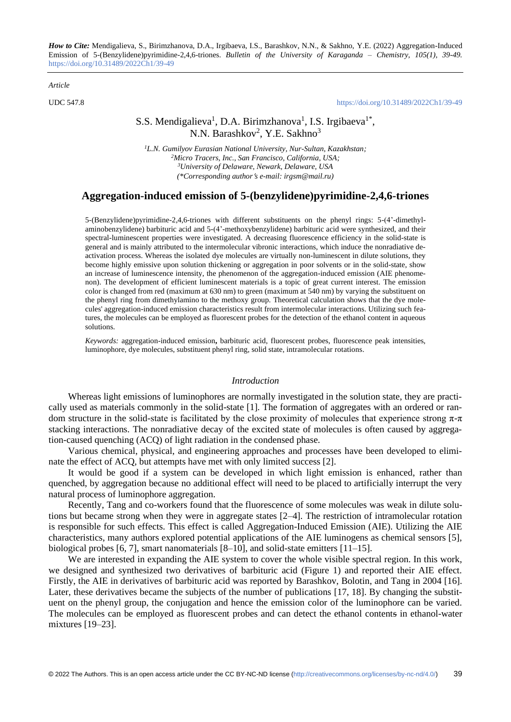*How to Cite:* Mendigalieva, S., Birimzhanova, D.A., Irgibaeva, I.S., Barashkov, N.N., & Sakhno, Y.E. (2022) Aggregation-Induced Emission of 5-(Benzylidene)pyrimidine-2,4,6-triones. *Bulletin of the University of Karaganda – Chemistry, 105(1), 39-49.*  <https://doi.org/10.31489/2022Ch1/39-49>

*Article*

UDC 547.8 <https://doi.org/10.31489/2022Ch1/39-49>

# S.S. Mendigalieva<sup>1</sup>, D.A. Birimzhanova<sup>1</sup>, I.S. Irgibaeva<sup>1\*</sup>, N.N. Barashkov<sup>2</sup>, Y.E. Sakhno<sup>3</sup>

*L.N. Gumilyov Eurasian National University, Nur-Sultan, Kazakhstan; Micro Tracers, Inc., San Francisco, California, USA; University of Delaware, Newark, Delaware, USA (\*Corresponding authors e-mail: irgsm@mail.ru)*

## **Aggregation-induced emission of 5-(benzylidene)pyrimidine-2,4,6-triones**

5-(Benzylidene)pyrimidine-2,4,6-triones with different substituents on the phenyl rings: 5-(4'-dimethylaminobenzylidene) barbituric acid and 5-(4'-methoxybenzylidene) barbituric acid were synthesized, and their spectral-luminescent properties were investigated. A decreasing fluorescence efficiency in the solid-state is general and is mainly attributed to the intermolecular vibronic interactions, which induce the nonradiative deactivation process. Whereas the isolated dye molecules are virtually non-luminescent in dilute solutions, they become highly emissive upon solution thickening or aggregation in poor solvents or in the solid-state, show an increase of luminescence intensity, the phenomenon of the aggregation-induced emission (AIE phenomenon). The development of efficient luminescent materials is a topic of great current interest. The emission color is changed from red (maximum at 630 nm) to green (maximum at 540 nm) by varying the substituent on the phenyl ring from dimethylamino to the methoxy group. Theoretical calculation shows that the dye molecules' aggregation-induced emission characteristics result from intermolecular interactions. Utilizing such features, the molecules can be employed as fluorescent probes for the detection of the ethanol content in aqueous solutions.

*Keywords:* aggregation-induced emission**,** barbituric acid, fluorescent probes, fluorescence peak intensities, luminophore, dye molecules, substituent phenyl ring, solid state, intramolecular rotations.

#### *Introduction*

Whereas light emissions of luminophores are normally investigated in the solution state, they are practically used as materials commonly in the solid-state [1]. The formation of aggregates with an ordered or random structure in the solid-state is facilitated by the close proximity of molecules that experience strong  $\pi$ - $\pi$ stacking interactions. The nonradiative decay of the excited state of molecules is often caused by aggregation-caused quenching (ACQ) of light radiation in the condensed phase.

Various chemical, physical, and engineering approaches and processes have been developed to eliminate the effect of ACQ, but attempts have met with only limited success [2].

It would be good if a system can be developed in which light emission is enhanced, rather than quenched, by aggregation because no additional effect will need to be placed to artificially interrupt the very natural process of luminophore aggregation.

Recently, Tang and co-workers found that the fluorescence of some molecules was weak in dilute solutions but became strong when they were in aggregate states [2–4]. The restriction of intramolecular rotation is responsible for such effects. This effect is called Aggregation-Induced Emission (AIE). Utilizing the AIE characteristics, many authors explored potential applications of the AIE luminogens as chemical sensors [5], biological probes [6, 7], smart nanomaterials [8–10], and solid-state emitters [11–15].

We are interested in expanding the AIE system to cover the whole visible spectral region. In this work, we designed and synthesized two derivatives of barbituric acid (Figure 1) and reported their AIE effect. Firstly, the AIE in derivatives of barbituric acid was reported by Barashkov, Bolotin, and Tang in 2004 [16]. Later, these derivatives became the subjects of the number of publications [17, 18]. By changing the substituent on the phenyl group, the conjugation and hence the emission color of the luminophore can be varied. The molecules can be employed as fluorescent probes and can detect the ethanol contents in ethanol-water mixtures [19–23].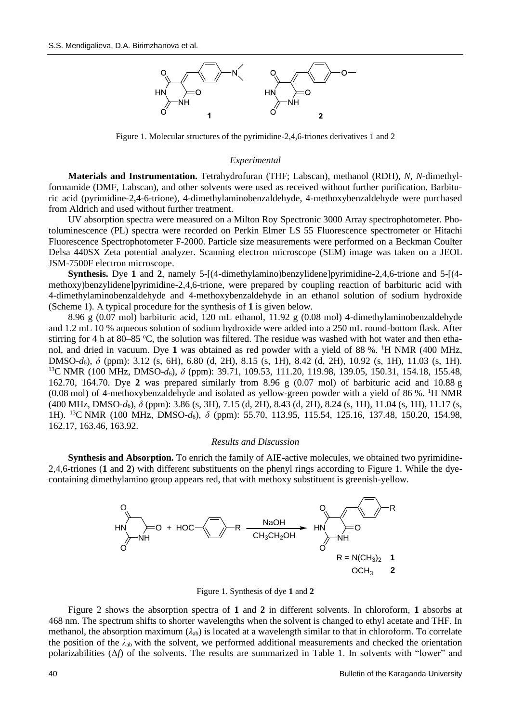

Figure 1. Molecular structures of the pyrimidine-2,4,6-triones derivatives 1 and 2

### *Experimental*

**Materials and Instrumentation.** Tetrahydrofuran (THF; Labscan), methanol (RDH), *N*, *N*-dimethylformamide (DMF, Labscan), and other solvents were used as received without further purification. Barbituric acid (pyrimidine-2,4-6-trione), 4-dimethylaminobenzaldehyde, 4-methoxybenzaldehyde were purchased from Aldrich and used without further treatment.

UV absorption spectra were measured on a Milton Roy Spectronic 3000 Array spectrophotometer. Photoluminescence (PL) spectra were recorded on Perkin Elmer LS 55 Fluorescence spectrometer or Hitachi Fluorescence Spectrophotometer F-2000. Particle size measurements were performed on a Beckman Coulter Delsa 440SX Zeta potential analyzer. Scanning electron microscope (SEM) image was taken on a JEOL JSM-7500F electron microscope.

**Synthesis.** Dye **1** and **2**, namely 5-[(4-dimethylamino)benzylidene]pyrimidine-2,4,6-trione and 5-[(4 methoxy)benzylidene]pyrimidine-2,4,6-trione, were prepared by coupling reaction of barbituric acid with 4-dimethylaminobenzaldehyde and 4-methoxybenzaldehyde in an ethanol solution of sodium hydroxide (Scheme 1). A typical procedure for the synthesis of **1** is given below.

8.96 g (0.07 mol) barbituric acid, 120 mL ethanol, 11.92 g (0.08 mol) 4-dimethylaminobenzaldehyde and 1.2 mL 10 % aqueous solution of sodium hydroxide were added into a 250 mL round-bottom flask. After stirring for 4 h at  $80-85$  °C, the solution was filtered. The residue was washed with hot water and then ethanol, and dried in vacuum. Dye 1 was obtained as red powder with a yield of 88 %. <sup>1</sup>H NMR (400 MHz, DMSO-*d*6), *δ* (ppm): 3.12 (s, 6H), 6.80 (d, 2H), 8.15 (s, 1H), 8.42 (d, 2H), 10.92 (s, 1H), 11.03 (s, 1H). <sup>13</sup>C NMR (100 MHz, DMSO-*d*6), *δ* (ppm): 39.71, 109.53, 111.20, 119.98, 139.05, 150.31, 154.18, 155.48, 162.70, 164.70. Dye **2** was prepared similarly from 8.96 g (0.07 mol) of barbituric acid and 10.88 g  $(0.08 \text{ mol})$  of 4-methoxybenzaldehyde and isolated as yellow-green powder with a yield of 86 %. <sup>1</sup>H NMR (400 MHz, DMSO-*d*6), *δ* (ppm): 3.86 (s, 3H), 7.15 (d, 2H), 8.43 (d, 2H), 8.24 (s, 1H), 11.04 (s, 1H), 11.17 (s, 1H). <sup>13</sup>C NMR (100 MHz, DMSO-*d*6), *δ* (ppm): 55.70, 113.95, 115.54, 125.16, 137.48, 150.20, 154.98, 162.17, 163.46, 163.92.

#### *Results and Discussion*

**Synthesis and Absorption.** To enrich the family of AIE-active molecules, we obtained two pyrimidine-2,4,6-triones (**1** and **2**) with different substituents on the phenyl rings according to Figure 1. While the dyecontaining dimethylamino group appears red, that with methoxy substituent is greenish-yellow.



Figure 1. Synthesis of dye **1** and **2**

Figure 2 shows the absorption spectra of **1** and **2** in different solvents. In chloroform, **1** absorbs at 468 nm. The spectrum shifts to shorter wavelengths when the solvent is changed to ethyl acetate and THF. In methanol, the absorption maximum (*λ*ab) is located at a wavelength similar to that in chloroform. To correlate the position of the  $\lambda_{ab}$  with the solvent, we performed additional measurements and checked the orientation polarizabilities (Δ*f*) of the solvents. The results are summarized in Table 1. In solvents with "lower" and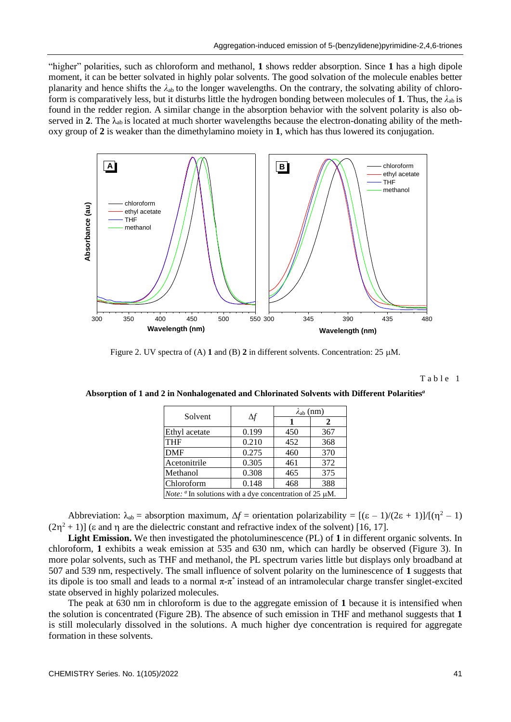"higher" polarities, such as chloroform and methanol, **1** shows redder absorption. Since **1** has a high dipole moment, it can be better solvated in highly polar solvents. The good solvation of the molecule enables better planarity and hence shifts the  $\lambda_{ab}$  to the longer wavelengths. On the contrary, the solvating ability of chloroform is comparatively less, but it disturbs little the hydrogen bonding between molecules of **1**. Thus, the *λ*ab is found in the redder region. A similar change in the absorption behavior with the solvent polarity is also observed in **2**. The  $\lambda_{ab}$  is located at much shorter wavelengths because the electron-donating ability of the methoxy group of **2** is weaker than the dimethylamino moiety in **1**, which has thus lowered its conjugation.



Figure 2. UV spectra of (A)  $1$  and (B)  $2$  in different solvents. Concentration: 25  $\mu$ M.

Table 1

**Absorption of 1 and 2 in Nonhalogenated and Chlorinated Solvents with Different Polarities***<sup>a</sup>*

| Solvent                                                                    | $\Delta f$ | $\lambda_{ab}$ (nm) |     |
|----------------------------------------------------------------------------|------------|---------------------|-----|
|                                                                            |            |                     | 2   |
| Ethyl acetate                                                              | 0.199      | 450                 | 367 |
| <b>THF</b>                                                                 | 0.210      | 452                 | 368 |
| <b>DMF</b>                                                                 | 0.275      | 460                 | 370 |
| Acetonitrile                                                               | 0.305      | 461                 | 372 |
| Methanol                                                                   | 0.308      | 465                 | 375 |
| Chloroform                                                                 | 0.148      | 468                 | 388 |
| <i>Note:</i> $\alpha$ In solutions with a dye concentration of 25 $\mu$ M. |            |                     |     |
|                                                                            |            |                     |     |

Abbreviation:  $\lambda_{ab}$  = absorption maximum,  $\Delta f$  = orientation polarizability =  $[(\varepsilon - 1)/(2\varepsilon + 1)]/[(\eta^2 - 1)]$  $(2\eta^2 + 1)$ ] ( $\varepsilon$  and  $\eta$  are the dielectric constant and refractive index of the solvent) [16, 17].

**Light Emission.** We then investigated the photoluminescence (PL) of **1** in different organic solvents. In chloroform, **1** exhibits a weak emission at 535 and 630 nm, which can hardly be observed (Figure 3). In more polar solvents, such as THF and methanol, the PL spectrum varies little but displays only broadband at 507 and 539 nm, respectively. The small influence of solvent polarity on the luminescence of **1** suggests that its dipole is too small and leads to a normal  $\pi$ - $\pi$ <sup>\*</sup> instead of an intramolecular charge transfer singlet-excited state observed in highly polarized molecules.

The peak at 630 nm in chloroform is due to the aggregate emission of **1** because it is intensified when the solution is concentrated (Figure 2B). The absence of such emission in THF and methanol suggests that **1** is still molecularly dissolved in the solutions. A much higher dye concentration is required for aggregate formation in these solvents.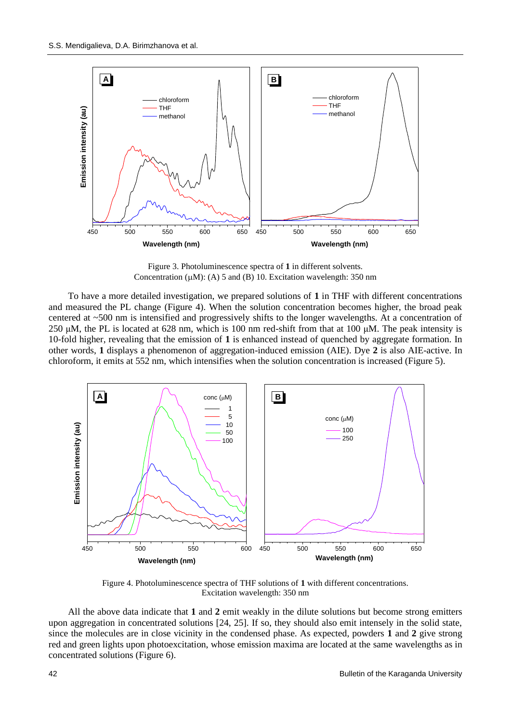

Figure 3. Photoluminescence spectra of **1** in different solvents. Concentration  $(\mu M)$ : (A) 5 and (B) 10. Excitation wavelength: 350 nm

To have a more detailed investigation, we prepared solutions of **1** in THF with different concentrations and measured the PL change (Figure 4). When the solution concentration becomes higher, the broad peak centered at ~500 nm is intensified and progressively shifts to the longer wavelengths. At a concentration of 250 μM, the PL is located at 628 nm, which is 100 nm red-shift from that at 100 μM. The peak intensity is 10-fold higher, revealing that the emission of **1** is enhanced instead of quenched by aggregate formation. In other words, **1** displays a phenomenon of aggregation-induced emission (AIE). Dye **2** is also AIE-active. In chloroform, it emits at 552 nm, which intensifies when the solution concentration is increased (Figure 5).



Figure 4. Photoluminescence spectra of THF solutions of **1** with different concentrations. Excitation wavelength: 350 nm

All the above data indicate that **1** and **2** emit weakly in the dilute solutions but become strong emitters upon aggregation in concentrated solutions [24, 25]. If so, they should also emit intensely in the solid state, since the molecules are in close vicinity in the condensed phase. As expected, powders **1** and **2** give strong red and green lights upon photoexcitation, whose emission maxima are located at the same wavelengths as in concentrated solutions (Figure 6).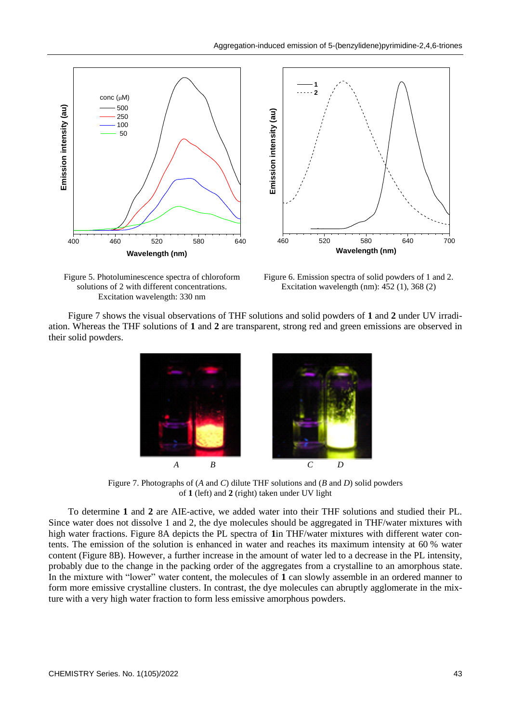

Figure 5. Photoluminescence spectra of chloroform solutions of 2 with different concentrations. Excitation wavelength: 330 nm

Figure 6. Emission spectra of solid powders of 1 and 2. Excitation wavelength (nm): 452 (1), 368 (2)

Figure 7 shows the visual observations of THF solutions and solid powders of **1** and **2** under UV irradiation. Whereas the THF solutions of **1** and **2** are transparent, strong red and green emissions are observed in their solid powders.



Figure 7. Photographs of (*A* and *C*) dilute THF solutions and (*B* and *D*) solid powders of **1** (left) and **2** (right) taken under UV light

To determine **1** and **2** are AIE-active, we added water into their THF solutions and studied their PL. Since water does not dissolve 1 and 2, the dye molecules should be aggregated in THF/water mixtures with high water fractions. Figure 8A depicts the PL spectra of **1**in THF/water mixtures with different water contents. The emission of the solution is enhanced in water and reaches its maximum intensity at 60 % water content (Figure 8B). However, a further increase in the amount of water led to a decrease in the PL intensity, probably due to the change in the packing order of the aggregates from a crystalline to an amorphous state. In the mixture with "lower" water content, the molecules of **1** can slowly assemble in an ordered manner to form more emissive crystalline clusters. In contrast, the dye molecules can abruptly agglomerate in the mixture with a very high water fraction to form less emissive amorphous powders.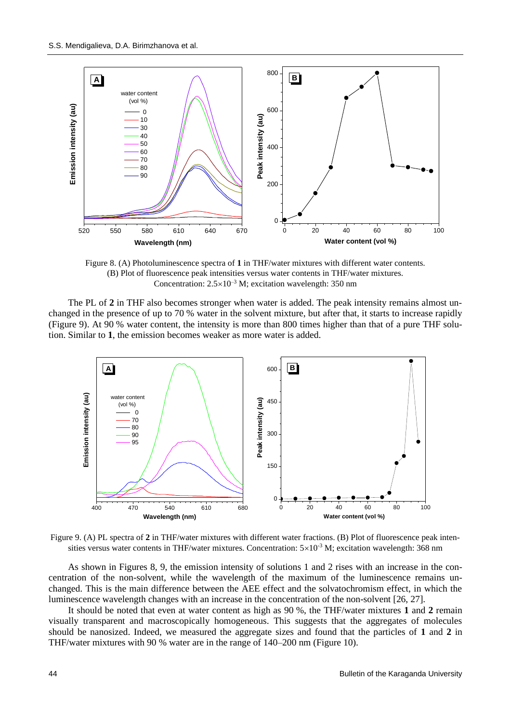

Figure 8. (A) Photoluminescence spectra of **1** in THF/water mixtures with different water contents. (B) Plot of fluorescence peak intensities versus water contents in THF/water mixtures. Concentration:  $2.5 \times 10^{-3}$  M; excitation wavelength: 350 nm

The PL of 2 in THF also becomes stronger when water is added. The peak intensity remains almost unchanged in the presence of up to 70 % water in the solvent mixture, but after that, it starts to increase rapidly (Figure 9). At 90 % water content, the intensity is more than 800 times higher than that of a pure THF solution. Similar to **1**, the emission becomes weaker as more water is added.



Figure 9. (A) PL spectra of **2** in THF/water mixtures with different water fractions. (B) Plot of fluorescence peak intensities versus water contents in THF/water mixtures. Concentration:  $5\times10^{-3}$  M; excitation wavelength: 368 nm

As shown in Figures 8, 9, the emission intensity of solutions 1 and 2 rises with an increase in the concentration of the non-solvent, while the wavelength of the maximum of the luminescence remains unchanged. This is the main difference between the AEE effect and the solvatochromism effect, in which the luminescence wavelength changes with an increase in the concentration of the non-solvent [26, 27].

It should be noted that even at water content as high as 90 %, the THF/water mixtures **1** and **2** remain visually transparent and macroscopically homogeneous. This suggests that the aggregates of molecules should be nanosized. Indeed, we measured the aggregate sizes and found that the particles of **1** and **2** in THF/water mixtures with 90 % water are in the range of 140–200 nm (Figure 10).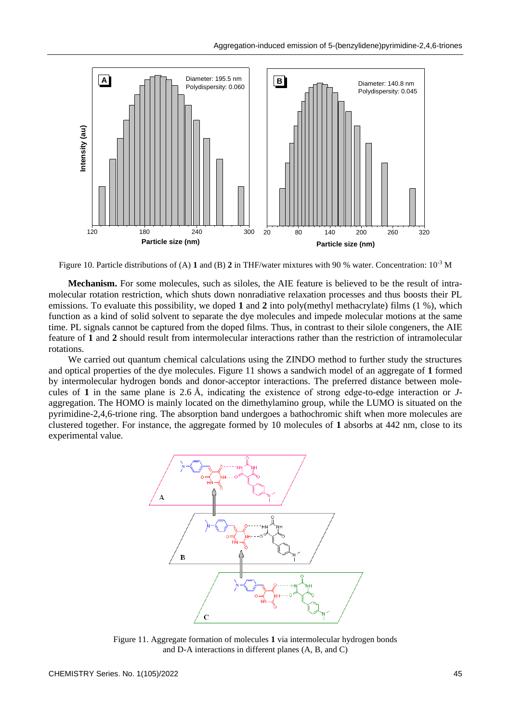

Figure 10. Particle distributions of (A) **1** and (B) **2** in THF/water mixtures with 90 % water. Concentration: 10-3 M

**Mechanism.** For some molecules, such as siloles, the AIE feature is believed to be the result of intramolecular rotation restriction, which shuts down nonradiative relaxation processes and thus boosts their PL emissions. To evaluate this possibility, we doped **1** and **2** into poly(methyl methacrylate) films (1 %), which function as a kind of solid solvent to separate the dye molecules and impede molecular motions at the same time. PL signals cannot be captured from the doped films. Thus, in contrast to their silole congeners, the AIE feature of **1** and **2** should result from intermolecular interactions rather than the restriction of intramolecular rotations.

We carried out quantum chemical calculations using the ZINDO method to further study the structures and optical properties of the dye molecules. Figure 11 shows a sandwich model of an aggregate of **1** formed by intermolecular hydrogen bonds and donor-acceptor interactions. The preferred distance between molecules of **1** in the same plane is 2.6 Å, indicating the existence of strong edge-to-edge interaction or *J*aggregation. The HOMO is mainly located on the dimethylamino group, while the LUMO is situated on the pyrimidine-2,4,6-trione ring. The absorption band undergoes a bathochromic shift when more molecules are clustered together. For instance, the aggregate formed by 10 molecules of **1** absorbs at 442 nm, close to its experimental value.



Figure 11. Aggregate formation of molecules **1** via intermolecular hydrogen bonds and D-A interactions in different planes (A, B, and C)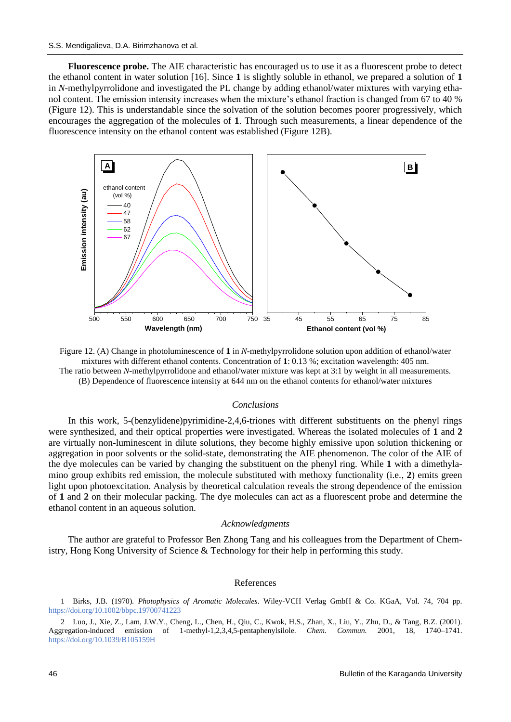**Fluorescence probe.** The AIE characteristic has encouraged us to use it as a fluorescent probe to detect the ethanol content in water solution [16]. Since **1** is slightly soluble in ethanol, we prepared a solution of **1** in *N*-methylpyrrolidone and investigated the PL change by adding ethanol/water mixtures with varying ethanol content. The emission intensity increases when the mixture's ethanol fraction is changed from 67 to 40 % (Figure 12). This is understandable since the solvation of the solution becomes poorer progressively, which encourages the aggregation of the molecules of **1**. Through such measurements, a linear dependence of the fluorescence intensity on the ethanol content was established (Figure 12B).



Figure 12. (A) Change in photoluminescence of **1** in *N*-methylpyrrolidone solution upon addition of ethanol/water mixtures with different ethanol contents. Concentration of **1**: 0.13 %; excitation wavelength: 405 nm. The ratio between *N*-methylpyrrolidone and ethanol/water mixture was kept at 3:1 by weight in all measurements.

(B) Dependence of fluorescence intensity at 644 nm on the ethanol contents for ethanol/water mixtures

### *Conclusions*

In this work, 5-(benzylidene)pyrimidine-2,4,6-triones with different substituents on the phenyl rings were synthesized, and their optical properties were investigated. Whereas the isolated molecules of **1** and **2** are virtually non-luminescent in dilute solutions, they become highly emissive upon solution thickening or aggregation in poor solvents or the solid-state, demonstrating the AIE phenomenon. The color of the AIE of the dye molecules can be varied by changing the substituent on the phenyl ring. While **1** with a dimethylamino group exhibits red emission, the molecule substituted with methoxy functionality (i.e., **2**) emits green light upon photoexcitation. Analysis by theoretical calculation reveals the strong dependence of the emission of **1** and **2** on their molecular packing. The dye molecules can act as a fluorescent probe and determine the ethanol content in an aqueous solution.

#### *Acknowledgments*

The author are grateful to Professor Ben Zhong Tang and his colleagues from the Department of Chemistry, Hong Kong University of Science & Technology for their help in performing this study.

#### References

1 Birks, J.B. (1970). *Photophysics of Aromatic Molecules*. Wiley-VCH Verlag GmbH & Co. KGaA, Vol. 74, 704 pp. <https://doi.org/10.1002/bbpc.19700741223>

2 Luo, J., Xie, Z., Lam, J.W.Y., Cheng, L., Chen, H., Qiu, C., Kwok, H.S., Zhan, X., Liu, Y., Zhu, D., & Tang, B.Z. (2001). Aggregation-induced emission of 1-methyl-1,2,3,4,5-pentaphenylsilole. *Chem. Commun.* 2001, 18, 1740–1741. <https://doi.org/10.1039/B105159H>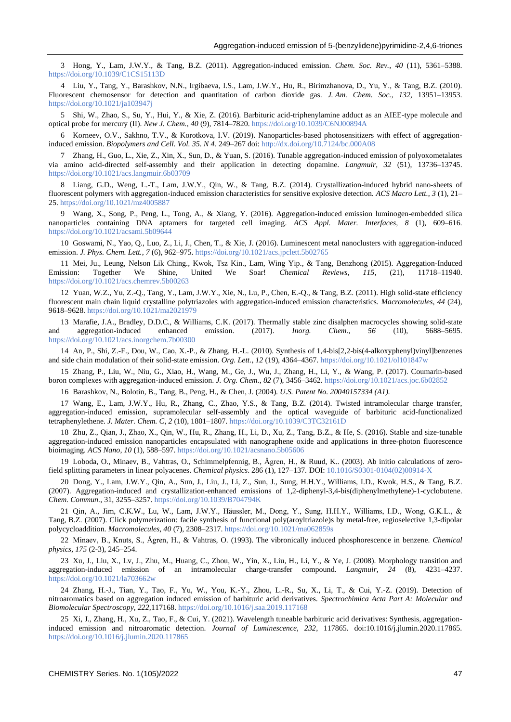3 Hong, Y., Lam, J.W.Y., & Tang, B.Z. (2011). Aggregation-induced emission. *Chem. Soc. Rev.*, *40* (11), 5361–5388. <https://doi.org/10.1039/C1CS15113D>

4 Liu, Y., Tang, Y., Barashkov, N.N., Irgibaeva, I.S., Lam, J.W.Y., Hu, R., Birimzhanova, D., Yu, Y., & Tang, B.Z. (2010). Fluorescent chemosensor for detection and quantitation of carbon dioxide gas. *J. Am. Chem. Soc.*, *132*, 13951–13953. <https://doi.org/10.1021/ja103947j>

5 Shi, W., Zhao, S., Su, Y., Hui, Y., & Xie, Z. (2016). Barbituric acid-triphenylamine adduct as an AIEE-type molecule and optical probe for mercury (II). *New J. Chem.*, *40* (9), 7814–7820[. https://doi.org/10.1039/C6NJ00894A](https://doi.org/10.1039/C6NJ00894A)

6 Korneev, O.V., Sakhno, T.V., & Korotkova, I.V. (2019). Nanoparticles-based photosensitizers with effect of aggregationinduced emission. *Biopolymers and Cell. Vol. 35. N 4. 249–267 doi[: http://dx.doi.org/10.7124/bc.000A08](http://dx.doi.org/10.7124/bc.000A08)* 

7 Zhang, H., Guo, L., Xie, Z., Xin, X., Sun, D., & Yuan, S. (2016). Tunable aggregation-induced emission of polyoxometalates via amino acid-directed self-assembly and their application in detecting dopamine. *Langmuir*, *32* (51), 13736–13745. <https://doi.org/10.1021/acs.langmuir.6b03709>

8 Liang, G.D., Weng, L.-T., Lam, J.W.Y., Qin, W., & Tang, B.Z. (2014). Crystallization-induced hybrid nano-sheets of fluorescent polymers with aggregation-induced emission characteristics for sensitive explosive detection. *ACS Macro Lett.*, *3* (1), 21– 25[. https://doi.org/10.1021/mz4005887](https://doi.org/10.1021/mz4005887)

9 Wang, X., Song, P., Peng, L., Tong, A., & Xiang, Y. (2016). Aggregation-induced emission luminogen-embedded silica nanoparticles containing DNA aptamers for targeted cell imaging. *ACS Appl. Mater. Interfaces*, *8* (1), 609–616. <https://doi.org/10.1021/acsami.5b09644>

10 Goswami, N., Yao, Q., Luo, Z., Li, J., Chen, T., & Xie, J. (2016). Luminescent metal nanoclusters with aggregation-induced emission. *J. Phys. Chem. Lett.*, *7* (6), 962–975[. https://doi.org/10.1021/acs.jpclett.5b02765](https://doi.org/10.1021/acs.jpclett.5b02765)

11 Mei, Ju., Leung, Nelson Lik Ching., Kwok, Tsz Kin., Lam, Wing Yip., & Tang, Benzhong (2015). Aggregation-Induced Emission: Together We Shine, United We Soar! *Chemical Reviews, 115*, (21), 11718–11940. <https://doi.org/10.1021/acs.chemrev.5b00263>

12 Yuan, W.Z., Yu, Z.-Q., Tang, Y., Lam, J.W.Y., Xie, N., Lu, P., Chen, E.-Q., & Tang, B.Z. (2011). High solid-state efficiency fluorescent main chain liquid crystalline polytriazoles with aggregation-induced emission characteristics. *Macromolecules*, *44* (24), 9618–9628[. https://doi.org/10.1021/ma2021979](https://doi.org/10.1021/ma2021979)

13 Marafie, J.A., Bradley, D.D.C., & Williams, C.K. (2017). Thermally stable zinc disalphen macrocycles showing solid-state and aggregation-induced enhanced emission. (2017). *Inorg. Chem., 56* (10), 5688–5695. <https://doi.org/10.1021/acs.inorgchem.7b00300>

14 An, P., Shi, Z.-F., Dou, W., Cao, X.-P., & Zhang, H.-L. (2010). Synthesis of 1,4-bis[2,2-bis(4-alkoxyphenyl)vinyl]benzenes and side chain modulation of their solid-state emission. *Org. Lett.*, *12* (19), 4364–4367[. https://doi.org/10.1021/ol101847w](https://doi.org/10.1021/ol101847w)

15 Zhang, P., Liu, W., Niu, G., Xiao, H., Wang, M., Ge, J., Wu, J., Zhang, H., Li, Y., & Wang, P. (2017). Coumarin-based boron complexes with aggregation-induced emission. *J. Org. Chem.*, *82* (7), 3456–3462.<https://doi.org/10.1021/acs.joc.6b02852>

16 Barashkov, N., Bolotin, B., Tang, B., Peng, H., & Chen, J. (2004). *U.S. Patent No. 20040157334 (A1).*

17 Wang, E., Lam, J.W.Y., Hu, R., Zhang, C., Zhao, Y.S., & Tang, B.Z. (2014). Twisted intramolecular charge transfer, aggregation-induced emission, supramolecular self-assembly and the optical waveguide of barbituric acid-functionalized tetraphenylethene. *J. Mater. Chem. C*, *2* (10), 1801–1807[. https://doi.org/10.1039/C3TC32161D](https://doi.org/10.1039/C3TC32161D)

18 Zhu, Z., Qian, J., Zhao, X., Qin, W., Hu, R., Zhang, H., Li, D., Xu, Z., Tang, B.Z., & He, S. (2016). Stable and size-tunable aggregation-induced emission nanoparticles encapsulated with nanographene oxide and applications in three-photon fluorescence bioimaging. *ACS Nano*, *10* (1), 588–597[. https://doi.org/10.1021/acsnano.5b05606](https://doi.org/10.1021/acsnano.5b05606)

19 Loboda, O., Minaev, B., Vahtras, O., Schimmelpfennig, B., Ågren, H., & Ruud, K.. (2003). Ab initio calculations of zerofield splitting parameters in linear polyacenes. *Chemical physics*. 286 (1), 127–137. DOI: [10.1016/S0301-0104\(02\)00914-X](http://dx.doi.org/10.1016/S0301-0104(02)00914-X)

20 Dong, Y., Lam, J.W.Y., Qin, A., Sun, J., Liu, J., Li, Z., Sun, J., Sung, H.H.Y., Williams, I.D., Kwok, H.S., & Tang, B.Z. (2007). Aggregation-induced and crystallization-enhanced emissions of 1,2-diphenyl-3,4-bis(diphenylmethylene)-1-cyclobutene. *Chem. Commun.*, 31, 3255–3257.<https://doi.org/10.1039/B704794K>

21 Qin, A., Jim, C.K.W., Lu, W., Lam, J.W.Y., Häussler, M., Dong, Y., Sung, H.H.Y., Williams, I.D., Wong, G.K.L., & Tang, B.Z. (2007). Click polymerization: facile synthesis of functional poly(aroyltriazole)s by metal-free, regioselective 1,3-dipolar polycycloaddition. *Macromolecules, 40* (7), 2308–2317.<https://doi.org/10.1021/ma062859s>

22 Minaev, B., Knuts, S., Ågren, H., & Vahtras, O. (1993). The vibronically induced phosphorescence in benzene. *Chemical physics*, *175* (2-3), 245–254.

23 Xu, J., Liu, X., Lv, J., Zhu, M., Huang, C., Zhou, W., Yin, X., Liu, H., Li, Y., & Ye, J. (2008). Morphology transition and aggregation-induced emission of an intramolecular charge-transfer compound. *Langmuir, 24* (8), 4231–4237. <https://doi.org/10.1021/la703662w>

24 Zhang, H.-J., Tian, Y., Tao, F., Yu, W., You, K.-Y., Zhou, L.-R., Su, X., Li, T., & Cui, Y.-Z. (2019). Detection of nitroaromatics based on aggregation induced emission of barbituric acid derivatives. *Spectrochimica Acta Part A: Molecular and Biomolecular Spectroscopy, 222,*117168[. https://doi.org/10.1016/j.saa.2019.117168](https://doi.org/10.1016/j.saa.2019.117168)

25 Xi, J., Zhang, H., Xu, Z., Tao, F., & Cui, Y. (2021). Wavelength tuneable barbituric acid derivatives: Synthesis, aggregationinduced emission and nitroaromatic detection. *Journal of Luminescence, 232*, 117865. doi:10.1016/j.jlumin.2020.117865. <https://doi.org/10.1016/j.jlumin.2020.117865>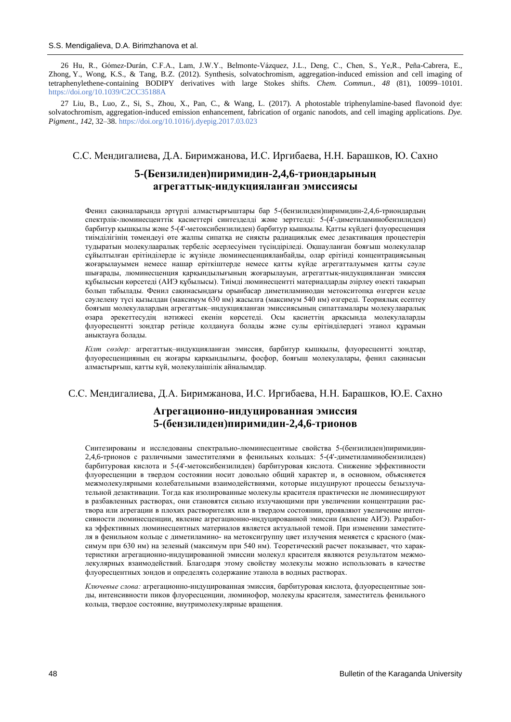26 Hu, R., Gómez-Durán, C.F.A., Lam, J.W.Y., Belmonte-Vázquez, J.L., Deng, C., Chen, S., Ye,R., Peña-Cabrera, E., Zhong, Y., Wong, K.S., & Tang, B.Z. (2012). Synthesis, solvatochromism, aggregation-induced emission and cell imaging of tetraphenylethene-containing BODIPY derivatives with large Stokes shifts. *Chem. Commun.*, *48* (81), 10099–10101. <https://doi.org/10.1039/C2CC35188A>

27 Liu, B., Luo, Z., Si, S., Zhou, X., Pan, C., & Wang, L. (2017). A photostable triphenylamine-based flavonoid dye: solvatochromism, aggregation-induced emission enhancement, fabrication of organic nanodots, and cell imaging applications. *Dye. Pigment.*, *142*, 32–38[. https://doi.org/10.1016/j.dyepig.2017.03.023](https://doi.org/10.1016/j.dyepig.2017.03.023)

## C.С. Мендигалиева, Д.A. Биримжанова, И.С. Иргибаева, Н.Н. Барашков, Ю. Сахно

# **5-(Бензилиден)пиримидин-2,4,6-триондарының агрегаттық-индукцияланған эмиссиясы**

Фенил сақиналарында әртүрлі алмастырғыштары бар 5-(бензилиден)пиримидин-2,4,6-триондардың спектрлік-люминесценттік қасиеттері синтезделді және зерттелді: 5-(4'-диметиламинобензилиден) барбитур қышқылы және 5-(4'-метоксибензилиден) барбитур қышқылы. Қатты күйдегі флуоресценция тиімділігінің төмендеуі өте жалпы сипатқа ие сияқты радиациялық емес дезактивация процестерін тудыратын молекулааралық тербеліс әсерлесуімен түсіндіріледі. Оқшауланған бояғыш молекулалар сұйылтылған ерітінділерде іс жүзінде люминесценцияланбайды, олар ерітінді концентрациясының жоғарылауымен немесе нашар еріткіштерде немесе қатты күйде агрегатталуымен қатты сәуле шығарады, люминесценция қарқындылығының жоғарылауын, агрегаттық-индукцияланған эмиссия құбылысын көрсетеді (АИЭ құбылысы). Тиімді люминесцентті материалдарды әзірлеу өзекті тақырып болып табылады. Фенил сақинасындағы орынбасар диметиламинодан метокситопқа өзгерген кезде сәулелену түсі қызылдан (максимум 630 нм) жасылға (максимум 540 нм) өзгереді. Теориялық есептеу бояғыш молекулалардың агрегаттық–индукцияланған эмиссиясының сипаттамалары молекулааралық өзара әрекеттесудің нәтижесі екенін көрсетеді. Осы қасиеттің арқасында молекулаларды флуоресцентті зондтар ретінде қолдануға болады және сулы ерітінділердегі этанол құрамын анықтауға болады.

*Кілт сөздер:* агрегаттық–индукцияланған эмиссия, барбитур қышқылы, флуоресцентті зондтар, флуоресценцияның ең жоғары қарқындылығы, фосфор, бояғыш молекулалары, фенил сақинасын алмастырғыш, қатты күй, молекулаішілік айналымдар.

### C.С. Мендигалиева, Д.A. Биримжанова, И.С. Иргибаева, Н.Н. Барашков, Ю.Е. Сахно

# **Агрегационно-индуцированная эмиссия 5-(бензилиден)пиримидин-2,4,6-трионов**

Синтезированы и исследованы спектрально-люминесцентные свойства 5-(бензилиден)пиримидин-2,4,6-трионов с различными заместителями в фенильных кольцах: 5-(4'-диметиламинобензилиден) барбитуровая кислота и 5-(4'-метоксибензилиден) барбитуровая кислота. Снижение эффективности флуоресценции в твердом состоянии носит довольно общий характер и, в основном, объясняется межмолекулярными колебательными взаимодействиями, которые индуцируют процессы безызлучательной дезактивации. Тогда как изолированные молекулы красителя практически не люминесцируют в разбавленных растворах, они становятся сильно излучающими при увеличении концентрации раствора или агрегации в плохих растворителях или в твердом состоянии, проявляют увеличение интенсивности люминесценции, явление агрегационно-индуцированной эмиссии (явление АИЭ). Разработка эффективных люминесцентных материалов является актуальной темой. При изменении заместителя в фенильном кольце с диметиламино- на метоксигруппу цвет излучения меняется с красного (максимум при 630 нм) на зеленый (максимум при 540 нм). Теоретический расчет показывает, что характеристики агрегационно-индуцированной эмиссии молекул красителя являются результатом межмолекулярных взаимодействий. Благодаря этому свойству молекулы можно использовать в качестве флуоресцентных зондов и определять содержание этанола в водных растворах.

*Ключевые слова:* агрегационно-индуцированная эмиссия, барбитуровая кислота, флуоресцентные зонды, интенсивности пиков флуоресценции, люминофор, молекулы красителя, заместитель фенильного кольца, твердое состояние, внутримолекулярные вращения.